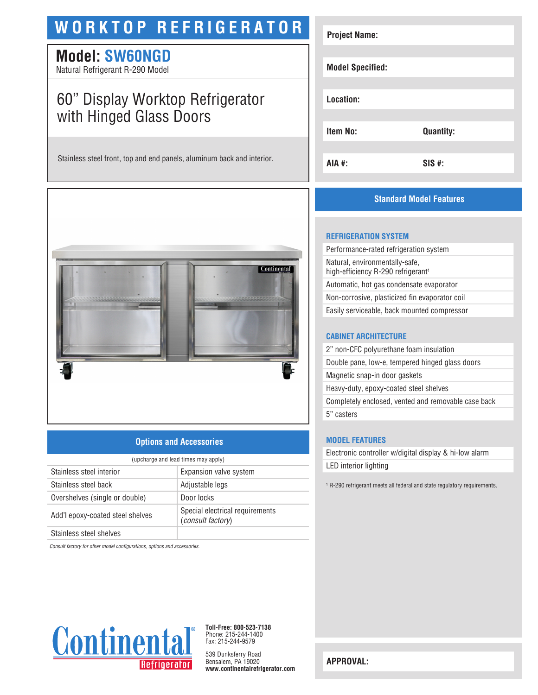# **WORKTOP REFRIGERATOR**

## **Model: SW60NGD**

Natural Refrigerant R-290 Model

# 60" Display Worktop Refrigerator with Hinged Glass Doors

Stainless steel front, top and end panels, aluminum back and interior.



### **Options and Accessories**

| (upcharge and lead times may apply) |                                                             |  |
|-------------------------------------|-------------------------------------------------------------|--|
| Stainless steel interior            | Expansion valve system                                      |  |
| Stainless steel back                | Adjustable legs                                             |  |
| Overshelves (single or double)      | Door locks                                                  |  |
| Add'l epoxy-coated steel shelves    | Special electrical requirements<br><i>(consult factory)</i> |  |
| Stainless steel shelves             |                                                             |  |

*Consult factory for other model configurations, options and accessories.*



**Toll-Free: 800-523-7138** Phone: 215-244-1400 Fax: 215-244-9579

539 Dunksferry Road Bensalem, PA 19020 **www.continentalrefrigerator.com** 

| <b>Project Name:</b>    |                  |
|-------------------------|------------------|
| <b>Model Specified:</b> |                  |
| Location:               |                  |
| Item No:                | <b>Quantity:</b> |
| AIA #:                  | $SIS$ #:         |

### **Standard Model Features**

#### **REFRIGERATION SYSTEM**

Performance-rated refrigeration system Natural, environmentally-safe, high-efficiency R-290 refrigerant<sup>1</sup> Automatic, hot gas condensate evaporator Non-corrosive, plasticized fin evaporator coil Easily serviceable, back mounted compressor

#### **CABINET ARCHITECTURE**

2" non-CFC polyurethane foam insulation Double pane, low-e, tempered hinged glass doors Magnetic snap-in door gaskets Heavy-duty, epoxy-coated steel shelves Completely enclosed, vented and removable case back 5" casters

#### **MODEL FEATURES**

Electronic controller w/digital display & hi-low alarm LED interior lighting

<sup>1</sup> R-290 refrigerant meets all federal and state regulatory requirements.

**APPROVAL:**